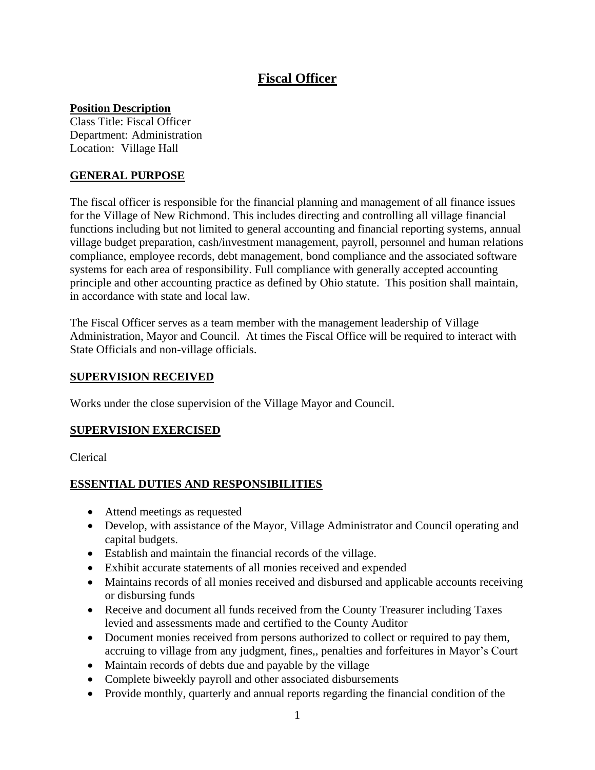# **Fiscal Officer**

### **Position Description**

Class Title: Fiscal Officer Department: Administration Location: Village Hall

# **GENERAL PURPOSE**

The fiscal officer is responsible for the financial planning and management of all finance issues for the Village of New Richmond. This includes directing and controlling all village financial functions including but not limited to general accounting and financial reporting systems, annual village budget preparation, cash/investment management, payroll, personnel and human relations compliance, employee records, debt management, bond compliance and the associated software systems for each area of responsibility. Full compliance with generally accepted accounting principle and other accounting practice as defined by Ohio statute. This position shall maintain, in accordance with state and local law.

The Fiscal Officer serves as a team member with the management leadership of Village Administration, Mayor and Council. At times the Fiscal Office will be required to interact with State Officials and non-village officials.

### **SUPERVISION RECEIVED**

Works under the close supervision of the Village Mayor and Council.

# **SUPERVISION EXERCISED**

Clerical

# **ESSENTIAL DUTIES AND RESPONSIBILITIES**

- Attend meetings as requested
- Develop, with assistance of the Mayor, Village Administrator and Council operating and capital budgets.
- Establish and maintain the financial records of the village.
- Exhibit accurate statements of all monies received and expended
- Maintains records of all monies received and disbursed and applicable accounts receiving or disbursing funds
- Receive and document all funds received from the County Treasurer including Taxes levied and assessments made and certified to the County Auditor
- Document monies received from persons authorized to collect or required to pay them, accruing to village from any judgment, fines,, penalties and forfeitures in Mayor's Court
- Maintain records of debts due and payable by the village
- Complete biweekly payroll and other associated disbursements
- Provide monthly, quarterly and annual reports regarding the financial condition of the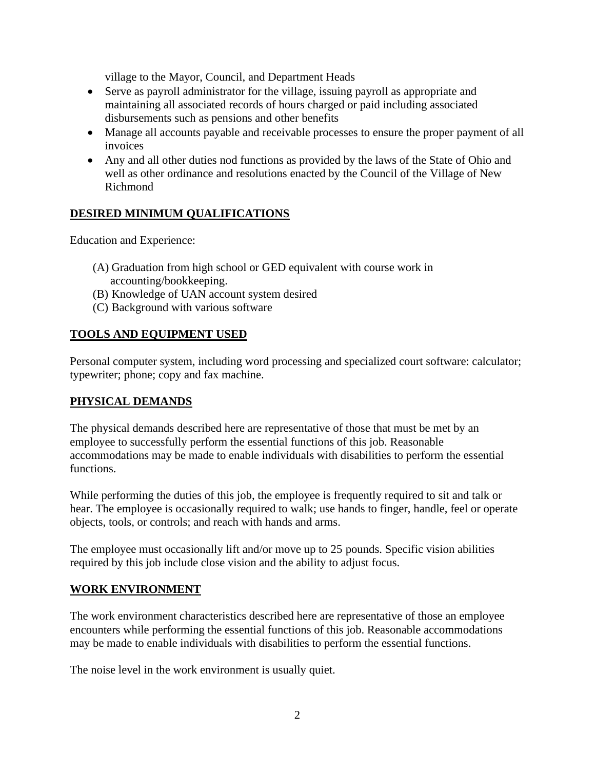village to the Mayor, Council, and Department Heads

- Serve as payroll administrator for the village, issuing payroll as appropriate and maintaining all associated records of hours charged or paid including associated disbursements such as pensions and other benefits
- Manage all accounts payable and receivable processes to ensure the proper payment of all invoices
- Any and all other duties nod functions as provided by the laws of the State of Ohio and well as other ordinance and resolutions enacted by the Council of the Village of New Richmond

# **DESIRED MINIMUM QUALIFICATIONS**

Education and Experience:

- (A) Graduation from high school or GED equivalent with course work in accounting/bookkeeping.
- (B) Knowledge of UAN account system desired
- (C) Background with various software

### **TOOLS AND EQUIPMENT USED**

Personal computer system, including word processing and specialized court software: calculator; typewriter; phone; copy and fax machine.

### **PHYSICAL DEMANDS**

The physical demands described here are representative of those that must be met by an employee to successfully perform the essential functions of this job. Reasonable accommodations may be made to enable individuals with disabilities to perform the essential functions.

While performing the duties of this job, the employee is frequently required to sit and talk or hear. The employee is occasionally required to walk; use hands to finger, handle, feel or operate objects, tools, or controls; and reach with hands and arms.

The employee must occasionally lift and/or move up to 25 pounds. Specific vision abilities required by this job include close vision and the ability to adjust focus.

### **WORK ENVIRONMENT**

The work environment characteristics described here are representative of those an employee encounters while performing the essential functions of this job. Reasonable accommodations may be made to enable individuals with disabilities to perform the essential functions.

The noise level in the work environment is usually quiet.